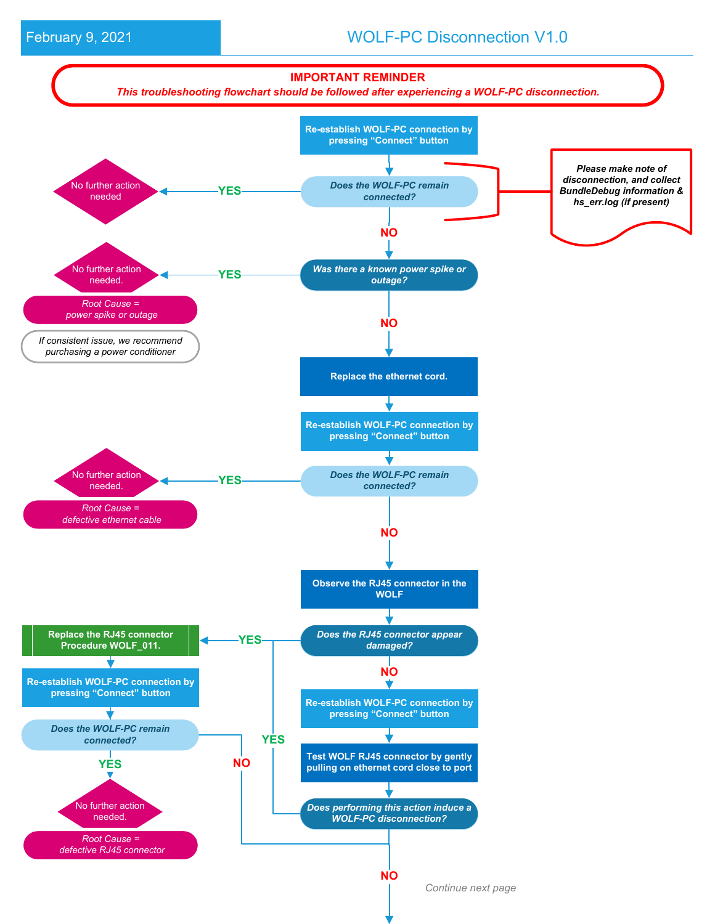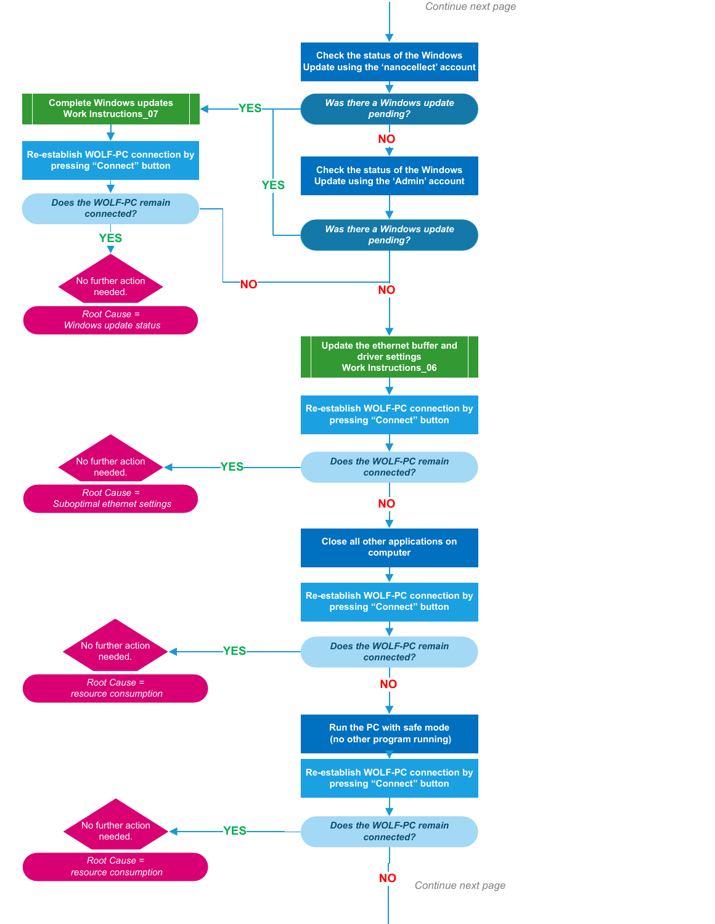